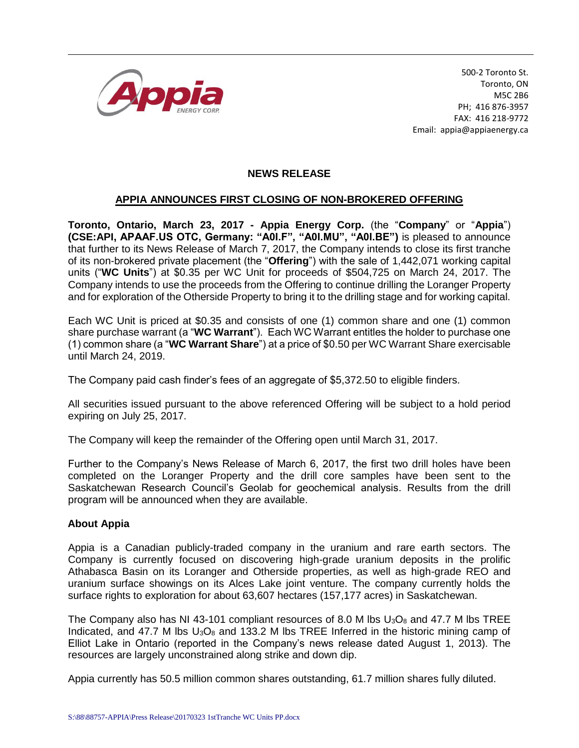

500-2 Toronto St. Toronto, ON M5C 2B6 PH; 416 876-3957 FAX: 416 218-9772 Email: appia@appiaenergy.ca

## **NEWS RELEASE**

## **APPIA ANNOUNCES FIRST CLOSING OF NON-BROKERED OFFERING**

**Toronto, Ontario, March 23, 2017 - Appia Energy Corp.** (the "**Company**" or "**Appia**") **(CSE:API, APAAF.US OTC, Germany: "A0I.F", "A0I.MU", "A0I.BE")** is pleased to announce that further to its News Release of March 7, 2017, the Company intends to close its first tranche of its non-brokered private placement (the "**Offering**") with the sale of 1,442,071 working capital units ("**WC Units**") at \$0.35 per WC Unit for proceeds of \$504,725 on March 24, 2017. The Company intends to use the proceeds from the Offering to continue drilling the Loranger Property and for exploration of the Otherside Property to bring it to the drilling stage and for working capital.

Each WC Unit is priced at \$0.35 and consists of one (1) common share and one (1) common share purchase warrant (a "**WC Warrant**"). Each WC Warrant entitles the holder to purchase one (1) common share (a "**WC Warrant Share**") at a price of \$0.50 per WC Warrant Share exercisable until March 24, 2019.

The Company paid cash finder's fees of an aggregate of \$5,372.50 to eligible finders.

All securities issued pursuant to the above referenced Offering will be subject to a hold period expiring on July 25, 2017.

The Company will keep the remainder of the Offering open until March 31, 2017.

Further to the Company's News Release of March 6, 2017, the first two drill holes have been completed on the Loranger Property and the drill core samples have been sent to the Saskatchewan Research Council's Geolab for geochemical analysis. Results from the drill program will be announced when they are available.

## **About Appia**

Appia is a Canadian publicly-traded company in the uranium and rare earth sectors. The Company is currently focused on discovering high-grade uranium deposits in the prolific Athabasca Basin on its Loranger and Otherside properties, as well as high-grade REO and uranium surface showings on its Alces Lake joint venture. The company currently holds the surface rights to exploration for about 63,607 hectares (157,177 acres) in Saskatchewan.

The Company also has NI 43-101 compliant resources of 8.0 M lbs  $U_3O_8$  and 47.7 M lbs TREE Indicated, and 47.7 M lbs  $U_3O_8$  and 133.2 M lbs TREE Inferred in the historic mining camp of Elliot Lake in Ontario (reported in the Company's news release dated August 1, 2013). The resources are largely unconstrained along strike and down dip.

Appia currently has 50.5 million common shares outstanding, 61.7 million shares fully diluted.